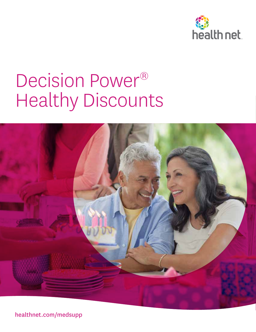

# Decision Power® Healthy Discounts



healthnet.com/medsupp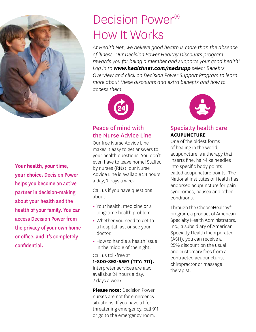

**Your health, your time, your choice.** Decision Power helps you become an active partner in decision-making about your health and the health of your family. You can access Decision Power from the privacy of your own home or office, and it's completely confidential.

# Decision Power® How It Works

*At Health Net, we believe good health is more than the absence of illness. Our Decision Power Healthy Discounts program rewards you for being a member and supports your good health! Log in to www.healthnet.com/medsupp select Benefits Overview and click on Decision Power Support Program to learn more about these discounts and extra benefits and how to access them.*



# Peace of mind with the Nurse Advice Line

Our free Nurse Advice Line makes it easy to get answers to your health questions. You don't even have to leave home! Staffed by nurses (RNs), our Nurse Advice Line is available 24 hours a day, 7 days a week.

Call us if you have questions about:

- **•** Your health, medicine or a long-time health problem.
- **•** Whether you need to get to a hospital fast or see your doctor.
- **•** How to handle a health issue in the middle of the night.

Call us toll-free at **1-800-893-5597 (TTY: 711).** Interpreter services are also available 24 hours a day, 7 days a week.

**Please note:** Decision Power nurses are not for emergency situations. If you have a lifethreatening emergency, call 911 or go to the emergency room.



## Specialty health care **ACUPUNCTURE**

One of the oldest forms of healing in the world, acupuncture is a therapy that inserts fine, hair-like needles into specific body points called acupuncture points. The National Institutes of Health has endorsed acupuncture for pain syndromes, nausea and other conditions.

Through the ChooseHealthy® program, a product of American Specialty Health Administrators, Inc., a subsidiary of American Specialty Health Incorporated (ASH), you can receive a 25% discount on the usual and customary fees from a contracted acupuncturist, chiropractor or massage therapist.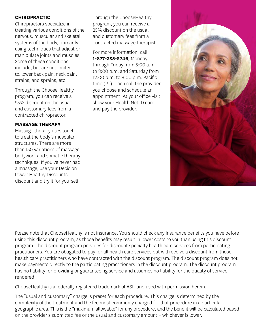#### **CHIROPRACTIC**

Chiropractors specialize in treating various conditions of the nervous, muscular and skeletal systems of the body, primarily using techniques that adjust or manipulate joints and muscles. Some of these conditions include, but are not limited to, lower back pain, neck pain, strains, and sprains, etc.

Through the ChooseHealthy program, you can receive a 25% discount on the usual and customary fees from a contracted chiropractor.

#### **MASSAGE THERAPY**

Massage therapy uses touch to treat the body's muscular structures. There are more than 150 variations of massage, bodywork and somatic therapy techniques. If you've never had a massage, use your Decision Power Healthy Discounts discount and try it for yourself.

Through the ChooseHealthy program, you can receive a 25% discount on the usual and customary fees from a contracted massage therapist.

For more information, call **1-877-335-2746**, Monday through Friday from 5:00 a.m. to 8:00 p.m. and Saturday from 12:00 p.m. to 8:00 p.m. Pacific time (PT). Then call the provider you choose and schedule an appointment. At your office visit, show your Health Net ID card and pay the provider.



Please note that ChooseHealthy is not insurance. You should check any insurance benefits you have before using this discount program, as those benefits may result in lower costs to you than using this discount program. The discount program provides for discount specialty health care services from participating practitioners. You are obligated to pay for all health care services but will receive a discount from those health care practitioners who have contracted with the discount program. The discount program does not make payments directly to the participating practitioners in the discount program. The discount program has no liability for providing or guaranteeing service and assumes no liability for the quality of service rendered.

ChooseHealthy is a federally registered trademark of ASH and used with permission herein.

The "usual and customary" charge is preset for each procedure. This charge is determined by the complexity of the treatment and the fee most commonly charged for that procedure in a particular geographic area. This is the "maximum allowable" for any procedure, and the benefit will be calculated based on the provider's submitted fee or the usual and customary amount – whichever is lower.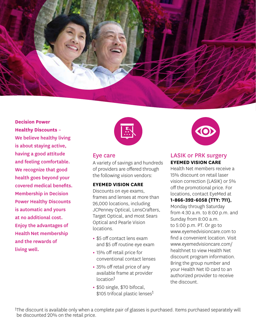

**Decision Power Healthy Discounts** – We believe healthy living is about staying active, having a good attitude and feeling comfortable. We recognize that good health goes beyond your covered medical benefits. Membership in Decision Power Healthy Discounts is automatic and yours at no additional cost. Enjoy the advantages of Health Net membership and the rewards of living well.



#### Eye care

A variety of savings and hundreds of providers are offered through the following vision vendors:

#### **EYEMED VISION CARE**

Discounts on eye exams, frames and lenses at more than 26,000 locations, including JCPenney Optical, LensCrafters, Target Optical, and most Sears Optical and Pearle Vision locations.

- **•** \$5 off contact lens exam and \$5 off routine eye exam
- **•** 15% off retail price for conventional contact lenses
- **•** 35% off retail price of any available frame at provider location1
- **•** \$50 single, \$70 bifocal, \$105 trifocal plastic lenses<sup>1</sup>



#### LASIK or PRK surgery **EYEMED VISION CARE**

Health Net members receive a 15% discount on retail laser vision correction (LASIK) or 5% off the promotional price. For locations, contact EyeMed at

#### **1-866-392-6058 (TTY: 711)**,

Monday through Saturday from 4:30 a.m. to 8:00 p.m. and Sunday from 8:00 a.m. to 5:00 p.m. PT. Or go to www.eyemedvisioncare.com to find a convenient location. Visit www.eyemedvisioncare.com/ healthnet to view Health Net discount program information. Bring the group number and your Health Net ID card to an authorized provider to receive the discount.

1The discount is available only when a complete pair of glasses is purchased. Items purchased separately will be discounted 20% on the retail price.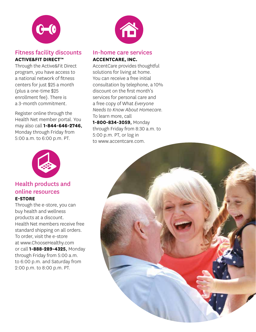

## Fitness facility discounts **ACTIVE&FIT DIRECT™**

Through the Active&Fit Direct program, you have access to a national network of fitness centers for just \$25 a month (plus a one-time \$25 enrollment fee). There is a 3-month commitment.

Register online through the Health Net member portal. You may also call **1-844-646-2746**, Monday through Friday from 5:00 a.m. to 6:00 p.m. PT.



#### Health products and online resources **E-STORE**

Through the e-store, you can buy health and wellness products at a discount. Health Net members receive free standard shipping on all orders. To order, visit the e-store at www.ChooseHealthy.com or call **1-888-289-4325**, Monday through Friday from 5:00 a.m. to 6:00 p.m. and Saturday from 2:00 p.m. to 8:00 p.m. PT.



# In-home care services **ACCENTCARE, INC.**

AccentCare provides thoughtful solutions for living at home. You can receive a free initial consultation by telephone, a 10% discount on the first month's services for personal care and a free copy of What *Everyone Needs to Know About Homecare.*  To learn more, call **1-800-834-3059**, Monday through Friday from 8:30 a.m. to

5:00 p.m. PT, or log in to www.accentcare.com.

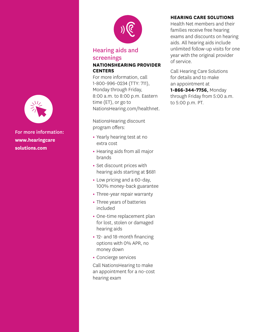

For more information: **www.hearingcare solutions.com**



#### Hearing aids and screenings **NATIONSHEARING PROVIDER CENTERS**

For more information, call 1-800-996-0234 (TTY: 711), Monday through Friday, 8:00 a.m. to 8:00 p.m. Eastern time (ET), or go to NationsHearing.com/healthnet.

NationsHearing discount program offers:

- **•** Yearly hearing test at no extra cost
- **•** Hearing aids from all major brands
- **•** Set discount prices with hearing aids starting at \$681
- **•** Low pricing and a 60-day, 100% money-back guarantee
- **•** Three-year repair warranty
- **•** Three years of batteries included
- **•** One-time replacement plan for lost, stolen or damaged hearing aids
- **•** 12- and 18-month financing options with 0% APR, no money down
- **•** Concierge services

Call NationsHearing to make an appointment for a no-cost hearing exam

#### **HEARING CARE SOLUTIONS**

Health Net members and their families receive free hearing exams and discounts on hearing aids. All hearing aids include unlimited follow-up visits for one year with the original provider of service.

Call Hearing Care Solutions for details and to make an appointment at **1-866-344-7756**, Monday through Friday from 5:00 a.m. to 5:00 p.m. PT.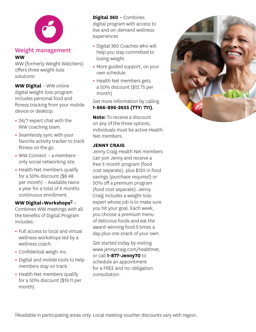

#### Weight management **WW**

WW (formerly Weight Watchers) offers three weight-loss solutions:

**WW Digital** – WW online digital weight-loss program includes personal food and fitness tracking from your mobile device or desktop.

- **•** 24/7 expert chat with the WW coaching team.
- **•** Seamlessly sync with your favorite activity tracker to track fitness on the go.
- **•** WW Connect a membersonly social networking site.
- **•** Health Net members qualify for a 50% discount (\$8.48 per month) – Available twice a year for a total of 6 months continuous enrollment.

#### **WW Digital+Workshops**2 –

Combines WW meetings with all the benefits of Digital.Program includes:

- **•** Full access to local and virtual wellness workshops led by a wellness coach.
- **•** Confidential weigh-ins.
- **•** Digital and mobile tools to help members stay on track.
- **•** Health Net members qualify for a 50% discount (\$19.11 per month)

**Digital 360** – Combines digital program with access to live and on-demand wellness experiences

- **•** Digital 360 Coaches who will help you stay committed to losing weight.
- **•** More guided support, on your own schedule
- **•** Health Net members gets a 50% discount (\$12.75 per month)

Get more information by calling **1-866-896-2655 (TTY: 711)**.

**Note:** To receive a discount on any of the three options, individuals must be active Health Net members.

#### **JENNY CRAIG**

Jenny Craig Health Net members can join Jenny and receive a free 3-month program (food cost separate), plus \$120 in food savings (purchase required) or 50% off a premium program (food cost separate). Jenny Craig includes a weight-loss expert whose job is to make sure you hit your goal. Each week, you choose a premium menu of delicious foods and eat the award-winning food 5 times a day plus one snack of your own.

Get started today by visiting www.jennycraig.com/healthnet, or call **1-877-Jenny70** to schedule an appointment for a FREE and no-obligation consultation.